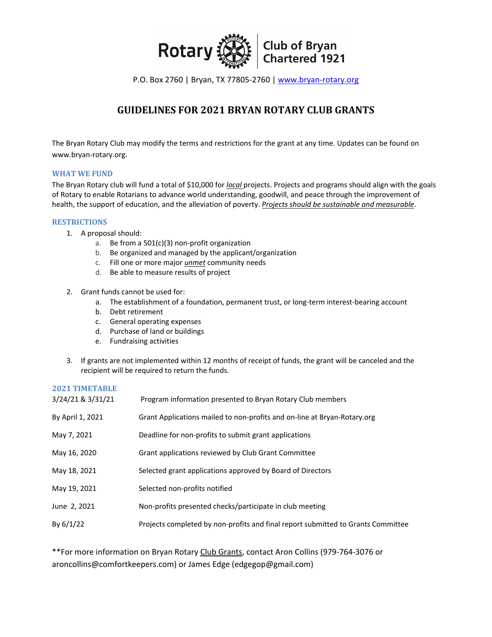

P.O. Box 2760 | Bryan, TX 77805‐2760 | www.bryan‐rotary.org

# **GUIDELINES FOR 2021 BRYAN ROTARY CLUB GRANTS**

The Bryan Rotary Club may modify the terms and restrictions for the grant at any time. Updates can be found on www.bryan‐rotary.org.

### **WHAT WE FUND**

The Bryan Rotary club will fund a total of \$10,000 for *local* projects. Projects and programs should align with the goals of Rotary to enable Rotarians to advance world understanding, goodwill, and peace through the improvement of health, the support of education, and the alleviation of poverty. *Projects should be sustainable and measurable*.

#### **RESTRICTIONS**

- 1. A proposal should:
	- a. Be from a 501(c)(3) non‐profit organization
	- b. Be organized and managed by the applicant/organization
	- c. Fill one or more major *unmet* community needs
	- d. Be able to measure results of project
- 2. Grant funds cannot be used for:
	- a. The establishment of a foundation, permanent trust, or long-term interest-bearing account
	- b. Debt retirement
	- c. General operating expenses
	- d. Purchase of land or buildings
	- e. Fundraising activities
- 3. If grants are not implemented within 12 months of receipt of funds, the grant will be canceled and the recipient will be required to return the funds.

#### **2021 TIMETABLE**

| 3/24/21 & 3/31/21 | Program information presented to Bryan Rotary Club members                       |
|-------------------|----------------------------------------------------------------------------------|
| By April 1, 2021  | Grant Applications mailed to non-profits and on-line at Bryan-Rotary.org         |
| May 7, 2021       | Deadline for non-profits to submit grant applications                            |
| May 16, 2020      | Grant applications reviewed by Club Grant Committee                              |
| May 18, 2021      | Selected grant applications approved by Board of Directors                       |
| May 19, 2021      | Selected non-profits notified                                                    |
| June 2, 2021      | Non-profits presented checks/participate in club meeting                         |
| By 6/1/22         | Projects completed by non-profits and final report submitted to Grants Committee |

\*\*For more information on Bryan Rotary Club Grants, contact Aron Collins (979‐764‐3076 or aroncollins@comfortkeepers.com) or James Edge (edgegop@gmail.com)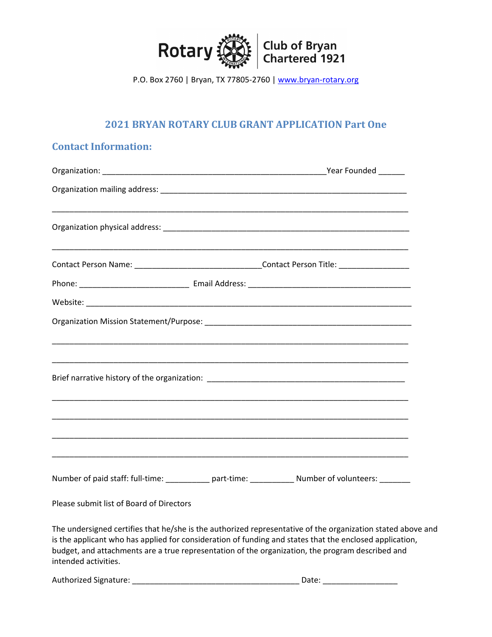

P.O. Box 2760 | Bryan, TX 77805‐2760 | www.bryan‐rotary.org

## **2021 BRYAN ROTARY CLUB GRANT APPLICATION Part One**

| <b>Contact Information:</b>                                                                                                                                                                                                                                                                                                                        |  |  |
|----------------------------------------------------------------------------------------------------------------------------------------------------------------------------------------------------------------------------------------------------------------------------------------------------------------------------------------------------|--|--|
|                                                                                                                                                                                                                                                                                                                                                    |  |  |
|                                                                                                                                                                                                                                                                                                                                                    |  |  |
|                                                                                                                                                                                                                                                                                                                                                    |  |  |
| Contact Person Name: _________________________________Contact Person Title: _______________________                                                                                                                                                                                                                                                |  |  |
|                                                                                                                                                                                                                                                                                                                                                    |  |  |
|                                                                                                                                                                                                                                                                                                                                                    |  |  |
|                                                                                                                                                                                                                                                                                                                                                    |  |  |
|                                                                                                                                                                                                                                                                                                                                                    |  |  |
|                                                                                                                                                                                                                                                                                                                                                    |  |  |
|                                                                                                                                                                                                                                                                                                                                                    |  |  |
| Number of paid staff: full-time: ____________ part-time: _____________ Number of volunteers: _______                                                                                                                                                                                                                                               |  |  |
| Please submit list of Board of Directors                                                                                                                                                                                                                                                                                                           |  |  |
| The undersigned certifies that he/she is the authorized representative of the organization stated above and<br>is the applicant who has applied for consideration of funding and states that the enclosed application,<br>budget, and attachments are a true representation of the organization, the program described and<br>intended activities. |  |  |

Authorized Signature: \_\_\_\_\_\_\_\_\_\_\_\_\_\_\_\_\_\_\_\_\_\_\_\_\_\_\_\_\_\_\_\_\_\_\_\_\_\_ Date: \_\_\_\_\_\_\_\_\_\_\_\_\_\_\_\_\_